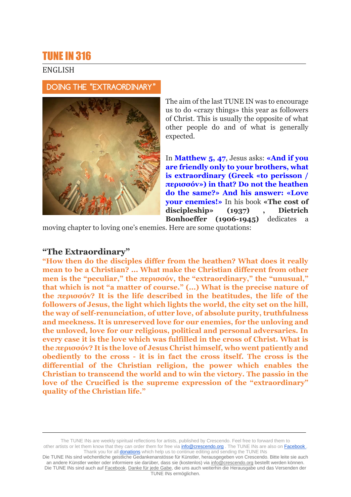# TUNE IN 316

# ENGLISH

### DOING THE "EXTRAORDINARY"



The aim of the last TUNE IN was to encourage us to do «crazy things» this year as followers of Christ. This is usually the opposite of what other people do and of what is generally expected.

In **Matthew 5, 47**, Jesus asks: **«And if you are friendly only to your brothers, what is extraordinary (Greek «to perisson / περισσóv») in that? Do not the heathen do the same?» And his answer: «Love your enemies!»** In his book **«The cost of discipleship» (1937) , Dietrich Bonhoeffer (1906-1945)** dedicates a

moving chapter to loving one's enemies. Here are some quotations:

# **"The Extraordinary"**

**"How then do the disciples differ from the heathen? What does it really mean to be a Christian? ... What make the Christian different from other men is the "peculiar," the περισσóv, the "extraordinary," the "unusual," that which is not "a matter of course." (...) What is the precise nature of the περισσóv? It is the life described in the beatitudes, the life of the followers of Jesus, the light which lights the world, the city set on the hill, the way of self-renunciation, of utter love, of absolute purity, truthfulness and meekness. It is unreserved love for our enemies, for the unloving and the unloved, love for our religious, political and personal adversaries. In every case it is the love which was fulfilled in the cross of Christ. What is the περισσóv? It is the love of Jesus Christ himself, who went patiently and obediently to the cross - it is in fact the cross itself. The cross is the differential of the Christian religion, the power which enables the Christian to transcend the world and to win the victory. The passio in the love of the Crucified is the supreme expression of the "extraordinary" quality of the Christian life."**

The TUNE INs are weekly spiritual reflections for artists, published by Crescendo. Feel free to forward them to other artists or let them know that they can order them for free via **info@crescendo.org** . The TUNE INs are also on Facebook . Thank you for all **donations** which help us to continue editing and sending the TUNE INs

Die TUNE INs sind wöchentliche geistliche Gedankenanstösse für Künstler, herausgegeben von Crescendo. Bitte leite sie auch an andere Künstler weiter oder informiere sie darüber, dass sie (kostenlos) via [info@crescendo.org](mailto:info@crescendo.org) bestellt werden können. Die TUNE INs sind auch auf [Facebook.](https://www.facebook.com/TUNEINs/) [Danke für jede Gabe,](https://www.crescendo.org/de/kontakt--spenden.html) die uns auch weiterhin die Herausgabe und das Versenden der TUNE INs ermöglichen.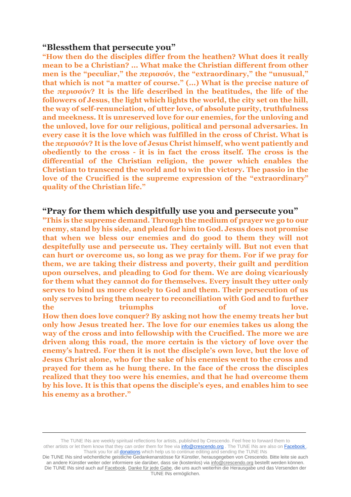### **"Blessthem that persecute you"**

**"How then do the disciples differ from the heathen? What does it really mean to be a Christian? ... What make the Christian different from other men is the "peculiar," the περισσóv, the "extraordinary," the "unusual," that which is not "a matter of course." (...) What is the precise nature of the περισσóv? It is the life described in the beatitudes, the life of the followers of Jesus, the light which lights the world, the city set on the hill, the way of self-renunciation, of utter love, of absolute purity, truthfulness and meekness. It is unreserved love for our enemies, for the unloving and the unloved, love for our religious, political and personal adversaries. In every case it is the love which was fulfilled in the cross of Christ. What is the περισσóv? It is the love of Jesus Christ himself, who went patiently and obediently to the cross - it is in fact the cross itself. The cross is the differential of the Christian religion, the power which enables the Christian to transcend the world and to win the victory. The passio in the love of the Crucified is the supreme expression of the "extraordinary" quality of the Christian life."**

# **"Pray for them which despitfully use you and persecute you"**

**"This is the supreme demand. Through the medium of prayer we go to our enemy, stand by his side, and plead for him to God. Jesus does not promise that when we bless our enemies and do good to them they will not despitefully use and persecute us. They certainly will. But not even that can hurt or overcome us, so long as we pray for them. For if we pray for them, we are taking their distress and poverty, their guilt and perdition upon ourselves, and pleading to God for them. We are doing vicariously for them what they cannot do for themselves. Every insult they utter only serves to bind us more closely to God and them. Their persecution of us only serves to bring them nearer to reconciliation with God and to further the triumphs of love. How then does love conquer? By asking not how the enemy treats her but only how Jesus treated her. The love for our enemies takes us along the way of the cross and into fellowship with the Crucified. The more we are driven along this road, the more certain is the victory of love over the enemy's hatred. For then it is not the disciple's own love, but the love of Jesus Christ alone, who for the sake of his enemies went to the cross and prayed for them as he hung there. In the face of the cross the disciples realized that they too were his enemies, and that he had overcome them by his love. It is this that opens the disciple's eyes, and enables him to see his enemy as a brother."**

The TUNE INs are weekly spiritual reflections for artists, published by Crescendo. Feel free to forward them to other artists or let them know that they can order them for free via **info@crescendo.org** . The TUNE INs are also on Facebook . Thank you for all **donations** which help us to continue editing and sending the TUNE INs

Die TUNE INs sind wöchentliche geistliche Gedankenanstösse für Künstler, herausgegeben von Crescendo. Bitte leite sie auch an andere Künstler weiter oder informiere sie darüber, dass sie (kostenlos) via [info@crescendo.org](mailto:info@crescendo.org) bestellt werden können. Die TUNE INs sind auch auf [Facebook.](https://www.facebook.com/TUNEINs/) [Danke für jede Gabe,](https://www.crescendo.org/de/kontakt--spenden.html) die uns auch weiterhin die Herausgabe und das Versenden der TUNE INs ermöglichen.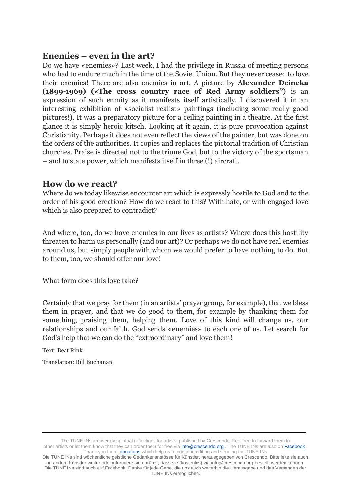### **Enemies – even in the art?**

Do we have «enemies»? Last week, I had the privilege in Russia of meeting persons who had to endure much in the time of the Soviet Union. But they never ceased to love their enemies! There are also enemies in art. A picture by **Alexander Deineka (1899-1969) («The cross country race of Red Army soldiers")** is an expression of such enmity as it manifests itself artistically. I discovered it in an interesting exhibition of «socialist realist» paintings (including some really good pictures!). It was a preparatory picture for a ceiling painting in a theatre. At the first glance it is simply heroic kitsch. Looking at it again, it is pure provocation against Christianity. Perhaps it does not even reflect the views of the painter, but was done on the orders of the authorities. It copies and replaces the pictorial tradition of Christian churches. Praise is directed not to the triune God, but to the victory of the sportsman – and to state power, which manifests itself in three (!) aircraft.

### **How do we react?**

Where do we today likewise encounter art which is expressly hostile to God and to the order of his good creation? How do we react to this? With hate, or with engaged love which is also prepared to contradict?

And where, too, do we have enemies in our lives as artists? Where does this hostility threaten to harm us personally (and our art)? Or perhaps we do not have real enemies around us, but simply people with whom we would prefer to have nothing to do. But to them, too, we should offer our love!

What form does this love take?

Certainly that we pray for them (in an artists' prayer group, for example), that we bless them in prayer, and that we do good to them, for example by thanking them for something, praising them, helping them. Love of this kind will change us, our relationships and our faith. God sends «enemies» to each one of us. Let search for God's help that we can do the "extraordinary" and love them!

Text: Beat Rink

Translation: Bill Buchanan

The TUNE INs are weekly spiritual reflections for artists, published by Crescendo. Feel free to forward them to other artists or let them know that they can order them for free via **info@crescendo.org** . The TUNE INs are also on Facebook . Thank you for all **donations** which help us to continue editing and sending the TUNE INs

Die TUNE INs sind wöchentliche geistliche Gedankenanstösse für Künstler, herausgegeben von Crescendo. Bitte leite sie auch an andere Künstler weiter oder informiere sie darüber, dass sie (kostenlos) via [info@crescendo.org](mailto:info@crescendo.org) bestellt werden können. Die TUNE INs sind auch auf [Facebook.](https://www.facebook.com/TUNEINs/) [Danke für jede Gabe,](https://www.crescendo.org/de/kontakt--spenden.html) die uns auch weiterhin die Herausgabe und das Versenden der TUNE INs ermöglichen.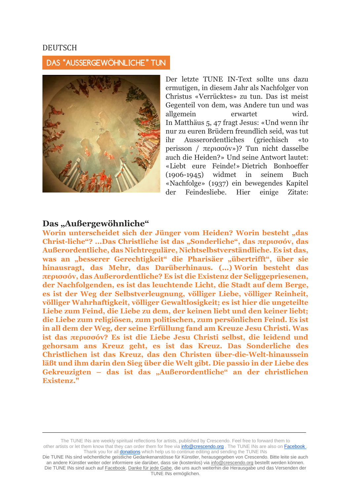#### DEUTSCH

### DAS "AUSSERGEWÖHNLICHE" TUN



Der letzte TUNE IN-Text sollte uns dazu ermutigen, in diesem Jahr als Nachfolger von Christus «Verrücktes» zu tun. Das ist meist Gegenteil von dem, was Andere tun und was allgemein erwartet wird. In Matthäus 5, 47 fragt Jesus: «Und wenn ihr nur zu euren Brüdern freundlich seid, was tut ihr Ausserordentliches (griechisch «to perisson / περισσóv»)? Tun nicht dasselbe auch die Heiden?» Und seine Antwort lautet: «Liebt eure Feinde!» Dietrich Bonhoeffer (1906-1945) widmet in seinem Buch «Nachfolge» (1937) ein bewegendes Kapitel der Feindesliebe. Hier einige Zitate:

#### **Das "Außergewöhnliche"**

Worin unterscheidet sich der Jünger vom Heiden? Worin besteht "das **Christ-liche"? ...Das Christliche ist das "Sonderliche", das περισσóv, das Außerordentliche, das Nichtreguläre, Nichtselbstverständliche. Es ist das,**  was an "besserer Gerechtigkeit" die Pharisäer "übertrifft", über sie **hinausragt, das Mehr, das Darüberhinaus. (...) Worin besteht das περισσóv, das Außerordentliche? Es ist die Existenz der Seliggepriesenen, der Nachfolgenden, es ist das leuchtende Licht, die Stadt auf dem Berge, es ist der Weg der Selbstverleugnung, völliger Liebe, völliger Reinheit, völliger Wahrhaftigkeit, völliger Gewaltlosigkeit; es ist hier die ungeteilte Liebe zum Feind, die Liebe zu dem, der keinen liebt und den keiner liebt; die Liebe zum religiösen, zum politischen, zum persönlichen Feind. Es ist in all dem der Weg, der seine Erfüllung fand am Kreuze Jesu Christi. Was ist das περισσóv? Es ist die Liebe Jesu Christi selbst, die leidend und gehorsam ans Kreuz geht, es ist das Kreuz. Das Sonderliche des Christlichen ist das Kreuz, das den Christen über-die-Welt-hinaussein läßt und ihm darin den Sieg über die Welt gibt. Die passio in der Liebe des Gekreuzigten – das ist das "Außerordentliche" an der christlichen Existenz."**

The TUNE INs are weekly spiritual reflections for artists, published by Crescendo. Feel free to forward them to other artists or let them know that they can order them for free via **info@crescendo.org** . The TUNE INs are also on Facebook . Thank you for all **donations** which help us to continue editing and sending the TUNE INs

Die TUNE INs sind wöchentliche geistliche Gedankenanstösse für Künstler, herausgegeben von Crescendo. Bitte leite sie auch an andere Künstler weiter oder informiere sie darüber, dass sie (kostenlos) via [info@crescendo.org](mailto:info@crescendo.org) bestellt werden können. Die TUNE INs sind auch auf [Facebook.](https://www.facebook.com/TUNEINs/) [Danke für jede Gabe,](https://www.crescendo.org/de/kontakt--spenden.html) die uns auch weiterhin die Herausgabe und das Versenden der TUNE INs ermöglichen.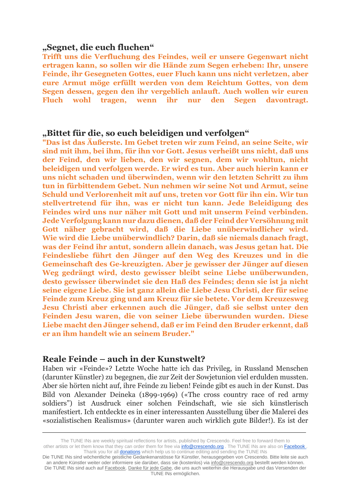#### **"Segnet, die euch fluchen"**

**Trifft uns die Verfluchung des Feindes, weil er unsere Gegenwart nicht ertragen kann, so sollen wir die Hände zum Segen erheben: Ihr, unsere Feinde, ihr Gesegneten Gottes, euer Fluch kann uns nicht verletzen, aber eure Armut möge erfüllt werden von dem Reichtum Gottes, von dem Segen dessen, gegen den ihr vergeblich anlauft. Auch wollen wir euren Fluch wohl tragen, wenn ihr nur den Segen davontragt.**

# **"Bittet für die, so euch beleidigen und verfolgen"**

**"Das ist das Äußerste. Im Gebet treten wir zum Feind, an seine Seite, wir sind mit ihm, bei ihm, für ihn vor Gott. Jesus verheißt uns nicht, daß uns der Feind, den wir lieben, den wir segnen, dem wir wohltun, nicht beleidigen und verfolgen werde. Er wird es tun. Aber auch hierin kann er uns nicht schaden und überwinden, wenn wir den letzten Schritt zu ihm tun in fürbittendem Gebet. Nun nehmen wir seine Not und Armut, seine Schuld und Verlorenheit mit auf uns, treten vor Gott für ihn ein. Wir tun stellvertretend für ihn, was er nicht tun kann. Jede Beleidigung des Feindes wird uns nur näher mit Gott und mit unserm Feind verbinden. Jede Verfolgung kann nur dazu dienen, daß der Feind der Versöhnung mit Gott näher gebracht wird, daß die Liebe unüberwindlicher wird. Wie wird die Liebe unüberwindlich? Darin, daß sie niemals danach fragt, was der Feind ihr antut, sondern allein danach, was Jesus getan hat. Die Feindesliebe führt den Jünger auf den Weg des Kreuzes und in die Gemeinschaft des Ge-kreuzigten. Aber je gewisser der Jünger auf diesen Weg gedrängt wird, desto gewisser bleibt seine Liebe unüberwunden, desto gewisser überwindet sie den Haß des Feindes; denn sie ist ja nicht seine eigene Liebe. Sie ist ganz allein die Liebe Jesu Christi, der für seine Feinde zum Kreuz ging und am Kreuz für sie betete. Vor dem Kreuzesweg Jesu Christi aber erkennen auch die Jünger, daß sie selbst unter den Feinden Jesu waren, die von seiner Liebe überwunden wurden. Diese Liebe macht den Jünger sehend, daß er im Feind den Bruder erkennt, daß er an ihm handelt wie an seinem Bruder."**

#### **Reale Feinde – auch in der Kunstwelt?**

Haben wir «Feinde»? Letzte Woche hatte ich das Privileg, in Russland Menschen (darunter Künstler) zu begegnen, die zur Zeit der Sowjetunion viel erdulden mussten. Aber sie hörten nicht auf, ihre Feinde zu lieben! Feinde gibt es auch in der Kunst. Das Bild von Alexander Deineka (1899-1969) («The cross country race of red army soldiers") ist Ausdruck einer solchen Feindschaft, wie sie sich künstlerisch manifestiert. Ich entdeckte es in einer interessanten Ausstellung über die Malerei des «sozialistischen Realismus» (darunter waren auch wirklich gute Bilder!). Es ist der

The TUNE INs are weekly spiritual reflections for artists, published by Crescendo. Feel free to forward them to other artists or let them know that they can order them for free via **info@crescendo.org** . The TUNE INs are also on Facebook . Thank you for all **donations** which help us to continue editing and sending the TUNE INs

Die TUNE INs sind wöchentliche geistliche Gedankenanstösse für Künstler, herausgegeben von Crescendo. Bitte leite sie auch an andere Künstler weiter oder informiere sie darüber, dass sie (kostenlos) via [info@crescendo.org](mailto:info@crescendo.org) bestellt werden können. Die TUNE INs sind auch auf [Facebook.](https://www.facebook.com/TUNEINs/) [Danke für jede Gabe,](https://www.crescendo.org/de/kontakt--spenden.html) die uns auch weiterhin die Herausgabe und das Versenden der TUNE INs ermöglichen.